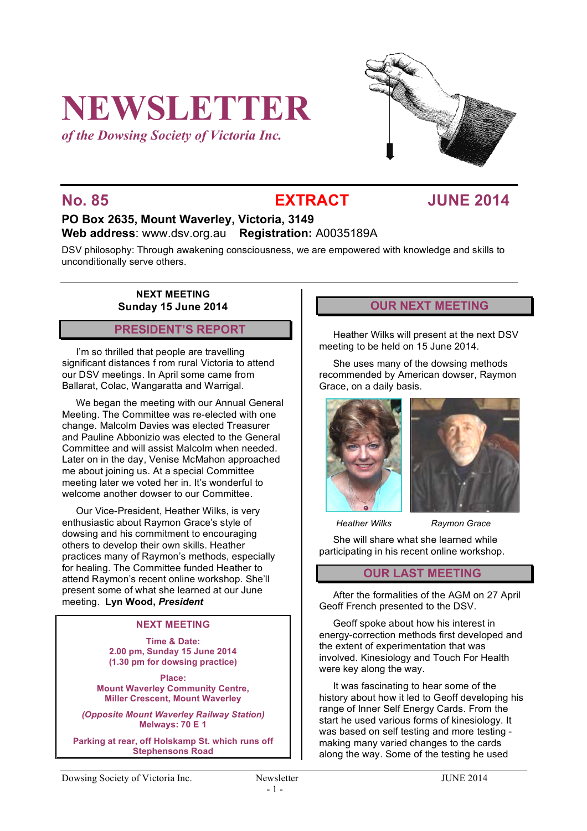# **NEWSLETTER**

*of the Dowsing Society of Victoria Inc.*



# **No. 85 EXTRACT JUNE 2014**

# **PO Box 2635, Mount Waverley, Victoria, 3149 Web address**: www.dsv.org.au **Registration:** A0035189A

DSV philosophy: Through awakening consciousness, we are empowered with knowledge and skills to unconditionally serve others.

#### **NEXT MEETING Sunday 15 June 2014**

# **PRESIDENT'S REPORT**

I'm so thrilled that people are travelling significant distances f rom rural Victoria to attend our DSV meetings. In April some came from Ballarat, Colac, Wangaratta and Warrigal.

We began the meeting with our Annual General Meeting. The Committee was re-elected with one change. Malcolm Davies was elected Treasurer and Pauline Abbonizio was elected to the General Committee and will assist Malcolm when needed. Later on in the day, Venise McMahon approached me about joining us. At a special Committee meeting later we voted her in. It's wonderful to welcome another dowser to our Committee.

Our Vice-President, Heather Wilks, is very enthusiastic about Raymon Grace's style of dowsing and his commitment to encouraging others to develop their own skills. Heather practices many of Raymon's methods, especially for healing. The Committee funded Heather to attend Raymon's recent online workshop. She'll present some of what she learned at our June meeting. **Lyn Wood,** *President*

### **NEXT MEETING**

**Time & Date: 2.00 pm, Sunday 15 June 2014 (1.30 pm for dowsing practice)**

**Place: Mount Waverley Community Centre, Miller Crescent, Mount Waverley**

*(Opposite Mount Waverley Railway Station)* **Melways: 70 E 1**

**Parking at rear, off Holskamp St. which runs off Stephensons Road**

# **OUR NEXT MEETING**

Heather Wilks will present at the next DSV meeting to be held on 15 June 2014.

She uses many of the dowsing methods recommended by American dowser, Raymon Grace, on a daily basis.





 *Heather Wilks Raymon Grace*

She will share what she learned while participating in his recent online workshop.

### **OUR LAST MEETING**

After the formalities of the AGM on 27 April Geoff French presented to the DSV.

Geoff spoke about how his interest in energy-correction methods first developed and the extent of experimentation that was involved. Kinesiology and Touch For Health were key along the way.

It was fascinating to hear some of the history about how it led to Geoff developing his range of Inner Self Energy Cards. From the start he used various forms of kinesiology. It was based on self testing and more testing making many varied changes to the cards along the way. Some of the testing he used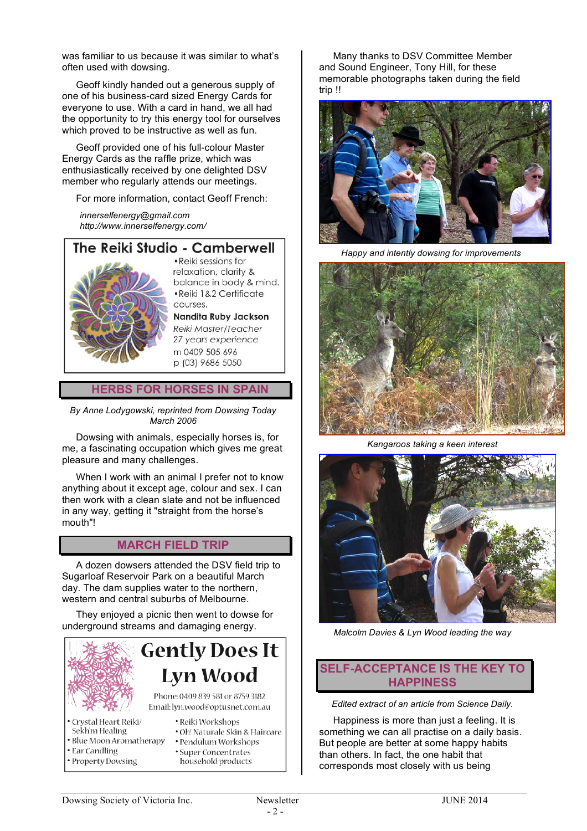was familiar to us because it was similar to what's often used with dowsing.

Geoff kindly handed out a generous supply of one of his business-card sized Energy Cards for everyone to use. With a card in hand, we all had the opportunity to try this energy tool for ourselves which proved to be instructive as well as fun.

Geoff provided one of his full-colour Master Energy Cards as the raffle prize, which was enthusiastically received by one delighted DSV member who regularly attends our meetings.

For more information, contact Geoff French:

*innerselfenergy@gmail.com http://www.innerselfenergy.com/*



#### **HERBS FOR HORSES IN SPAIN**

*By Anne Lodygowski, reprinted from Dowsing Today March 2006*

Dowsing with animals, especially horses is, for me, a fascinating occupation which gives me great pleasure and many challenges.

When I work with an animal I prefer not to know anything about it except age, colour and sex. I can then work with a clean slate and not be influenced in any way, getting it "straight from the horse's mouth"!

#### **MARCH FIELD TRIP**

A dozen dowsers attended the DSV field trip to Sugarloaf Reservoir Park on a beautiful March day*.* The dam supplies water to the northern, western and central suburbs of Melbourne.

They enjoyed a picnic then went to dowse for underground streams and damaging energy.



- · Property Dowsing
- · Super Concentrates household products

Many thanks to DSV Committee Member and Sound Engineer, Tony Hill, for these memorable photographs taken during the field trip !!



 *Happy and intently dowsing for improvements*



 *Kangaroos taking a keen interest*



*Malcolm Davies & Lyn Wood leading the way*

# **SELF-ACCEPTANCE IS THE KEY TO HAPPINESS**

*Edited extract of an article from Science Daily.*

Happiness is more than just a feeling. It is something we can all practise on a daily basis. But people are better at some happy habits than others. In fact, the one habit that corresponds most closely with us being